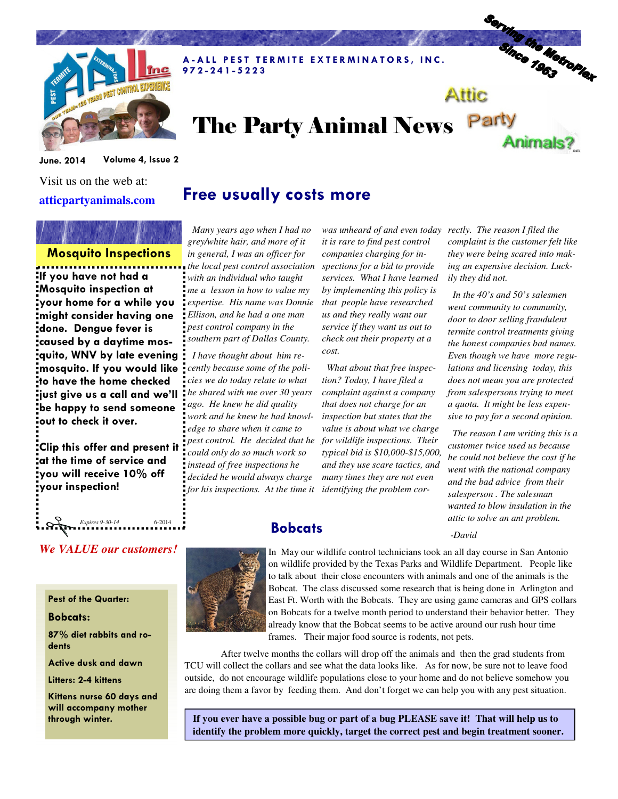

### A - A LL PEST TERMITE EXTERMINATORS, INC. 9 7 2 - 2 4 1 - 5 2 2 3

# The Party Animal News Party Animals?

June. 2014 Volume 4, Issue 2

Visit us on the web at: **atticpartyanimals.com** 

# Free usually costs more

## Mosquito Inspections

If you have not had a Mosquito inspection at your home for a while you might consider having one done. Dengue fever is caused by a daytime mosquito, WNV by late evening mosquito. If you would like to have the home checked  $\mathsf{i}$ iust give us a call and we'll be happy to send someone out to check it over.

Clip this offer and present it **a**t the time of service and you will receive 10% off your inspection!

*We VALUE our customers!* 

**Expires 9-30-14** 6-2014

 *Many years ago when I had no grey/white hair, and more of it in general, I was an officer for the local pest control association with an individual who taught me a lesson in how to value my expertise. His name was Donnie Ellison, and he had a one man pest control company in the southern part of Dallas County.* 

 *I have thought about him recently because some of the policies we do today relate to what he shared with me over 30 years ago. He knew he did quality work and he knew he had knowledge to share when it came to pest control. He decided that he could only do so much work so instead of free inspections he decided he would always charge for his inspections. At the time it* 

*it is rare to find pest control companies charging for inspections for a bid to provide services. What I have learned by implementing this policy is that people have researched us and they really want our service if they want us out to check out their property at a cost.* 

 *What about that free inspection? Today, I have filed a complaint against a company that does not charge for an inspection but states that the value is about what we charge for wildlife inspections. Their typical bid is \$10,000-\$15,000, and they use scare tactics, and many times they are not even identifying the problem cor-*

*was unheard of and even today rectly. The reason I filed the complaint is the customer felt like they were being scared into making an expensive decision. Luckily they did not.* 

Serving the Metroplex

Attic

 *In the 40's and 50's salesmen went community to community, door to door selling fraudulent termite control treatments giving the honest companies bad names. Even though we have more regulations and licensing today, this does not mean you are protected from salespersons trying to meet a quota. It might be less expensive to pay for a second opinion.* 

 *The reason I am writing this is a customer twice used us because he could not believe the cost if he went with the national company and the bad advice from their salesperson . The salesman wanted to blow insulation in the attic to solve an ant problem.* 

 *-David*



**Bobcats** 

In May our wildlife control technicians took an all day course in San Antonio on wildlife provided by the Texas Parks and Wildlife Department. People like to talk about their close encounters with animals and one of the animals is the Bobcat. The class discussed some research that is being done in Arlington and East Ft. Worth with the Bobcats. They are using game cameras and GPS collars on Bobcats for a twelve month period to understand their behavior better. They already know that the Bobcat seems to be active around our rush hour time frames. Their major food source is rodents, not pets.

 After twelve months the collars will drop off the animals and then the grad students from TCU will collect the collars and see what the data looks like. As for now, be sure not to leave food outside, do not encourage wildlife populations close to your home and do not believe somehow you are doing them a favor by feeding them. And don't forget we can help you with any pest situation.

through winter. **If you ever have a possible bug or part of a bug PLEASE save it! That will help us to identify the problem more quickly, target the correct pest and begin treatment sooner.** 

# Pest of the Quarter:

### Bobcats:

87% diet rabbits and rodents

Active dusk and dawn

Litters: 2-4 kittens

Kittens nurse 60 days and will accompany mother